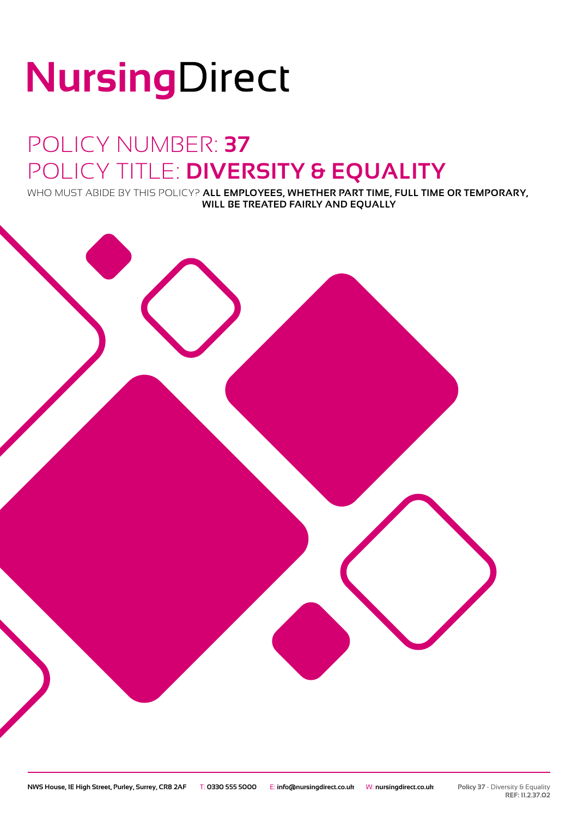# NursingDirect

### POLICY NUMBER: **37** POLICY TITLE: **DIVERSITY & EQUALITY**

WHO MUST ABIDE BY THIS POLICY? **ALL EMPLOYEES, WHETHER PART TIME, FULL TIME OR TEMPORARY, WILL BE TREATED FAIRLY AND EQUALLY**